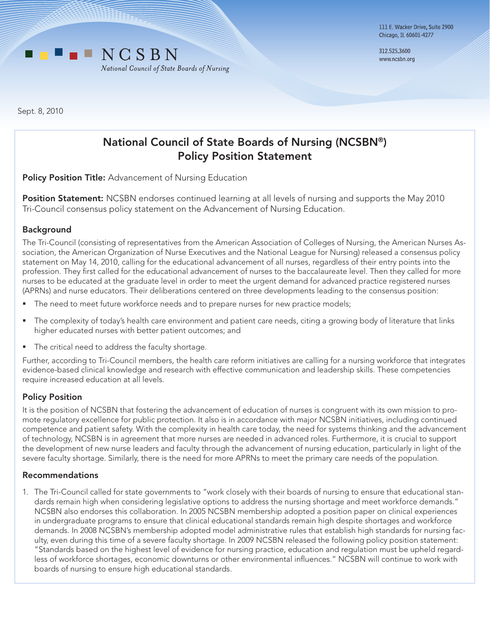

312.525.3600 www.ncsbn.org

Sept. 8, 2010

# National Council of State Boards of Nursing (NCSBN®) Policy Position Statement

**Policy Position Title:** Advancement of Nursing Education

Position Statement: NCSBN endorses continued learning at all levels of nursing and supports the May 2010 Tri-Council consensus policy statement on the Advancement of Nursing Education.

## Background

The Tri-Council (consisting of representatives from the American Association of Colleges of Nursing, the American Nurses Association, the American Organization of Nurse Executives and the National League for Nursing) released a consensus policy statement on May 14, 2010, calling for the educational advancement of all nurses, regardless of their entry points into the profession. They first called for the educational advancement of nurses to the baccalaureate level. Then they called for more nurses to be educated at the graduate level in order to meet the urgent demand for advanced practice registered nurses (APRNs) and nurse educators. Their deliberations centered on three developments leading to the consensus position:

- The need to meet future workforce needs and to prepare nurses for new practice models;
- The complexity of today's health care environment and patient care needs, citing a growing body of literature that links higher educated nurses with better patient outcomes; and
- The critical need to address the faculty shortage.

Further, according to Tri-Council members, the health care reform initiatives are calling for a nursing workforce that integrates evidence-based clinical knowledge and research with effective communication and leadership skills. These competencies require increased education at all levels.

## Policy Position

It is the position of NCSBN that fostering the advancement of education of nurses is congruent with its own mission to promote regulatory excellence for public protection. It also is in accordance with major NCSBN initiatives, including continued competence and patient safety. With the complexity in health care today, the need for systems thinking and the advancement of technology, NCSBN is in agreement that more nurses are needed in advanced roles. Furthermore, it is crucial to support the development of new nurse leaders and faculty through the advancement of nursing education, particularly in light of the severe faculty shortage. Similarly, there is the need for more APRNs to meet the primary care needs of the population.

#### Recommendations

1. The Tri-Council called for state governments to "work closely with their boards of nursing to ensure that educational standards remain high when considering legislative options to address the nursing shortage and meet workforce demands." NCSBN also endorses this collaboration. In 2005 NCSBN membership adopted a position paper on clinical experiences in undergraduate programs to ensure that clinical educational standards remain high despite shortages and workforce demands. In 2008 NCSBN's membership adopted model administrative rules that establish high standards for nursing faculty, even during this time of a severe faculty shortage. In 2009 NCSBN released the following policy position statement: "Standards based on the highest level of evidence for nursing practice, education and regulation must be upheld regardless of workforce shortages, economic downturns or other environmental influences." NCSBN will continue to work with boards of nursing to ensure high educational standards.